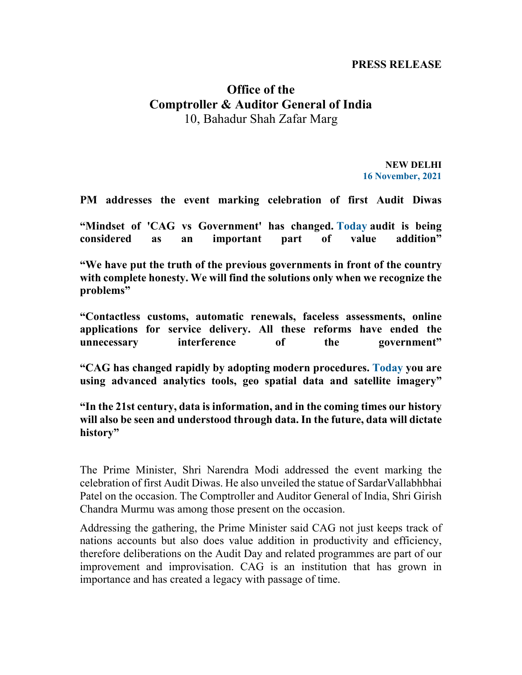## **PRESS RELEASE**

## **Office of the Comptroller & Auditor General of India** 10, Bahadur Shah Zafar Marg

**NEW DELHI 16 November, 2021**

**PM addresses the event marking celebration of first Audit Diwas**

**"Mindset of 'CAG vs Government' has changed. Today audit is being considered as an important part of value addition"** 

**"We have put the truth of the previous governments in front of the country with complete honesty. We will find the solutions only when we recognize the problems"** 

**"Contactless customs, automatic renewals, faceless assessments, online applications for service delivery. All these reforms have ended the unnecessary interference of the government"** 

**"CAG has changed rapidly by adopting modern procedures. Today you are using advanced analytics tools, geo spatial data and satellite imagery"** 

**"In the 21st century, data is information, and in the coming times our history will also be seen and understood through data. In the future, data will dictate history"**

The Prime Minister, Shri Narendra Modi addressed the event marking the celebration of first Audit Diwas. He also unveiled the statue of SardarVallabhbhai Patel on the occasion. The Comptroller and Auditor General of India, Shri Girish Chandra Murmu was among those present on the occasion.

Addressing the gathering, the Prime Minister said CAG not just keeps track of nations accounts but also does value addition in productivity and efficiency, therefore deliberations on the Audit Day and related programmes are part of our improvement and improvisation. CAG is an institution that has grown in importance and has created a legacy with passage of time.